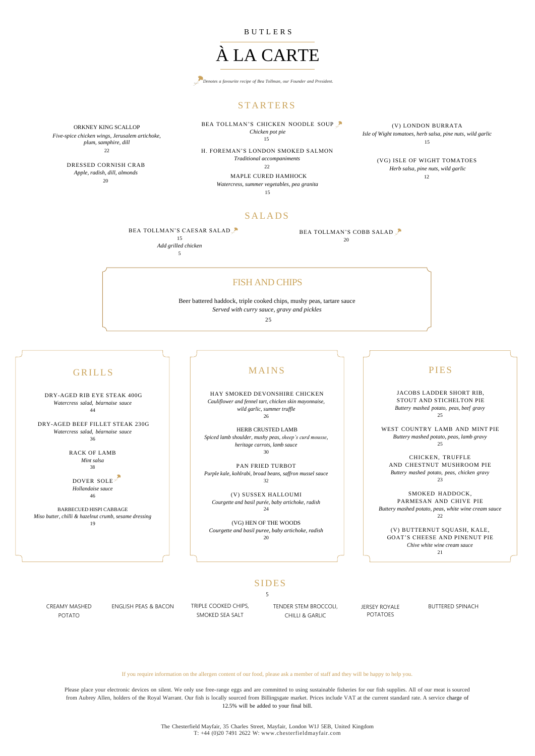DRY-AGED RIB EYE STEAK 400G *Watercress salad, béarnaise sauce* 44

DRY-AGED BEEF FILLET STEAK 230G *Watercress salad, béarnaise sauce* 36

> RACK OF LAMB *Mint salsa* 38

DOVER SOLE *Hollandaise sauce* 46

BEA TOLLMAN'S CHICKEN NOODLE SOUP *Chicken pot pie* 15

22 H. FOREMAN'S LONDON SMOKED SALMON

BARBECUED HISPI CABBAGE *Miso butter, chilli & hazelnut crumb, sesame dressing* 19

# **MAINS**

B U T L E R S

# À LA CARTE



# **STARTERS**

(V) LONDON BURRATA *Isle of Wight tomatoes, herb salsa, pine nuts, wild garlic* 15

ORKNEY KING SCALLOP *Five-spice chicken wings, Jerusalem artichoke, plum, samphire, dill*

*Traditional accompaniments*

 $22$ 

MAPLE CURED HAMHOCK *Watercress, summer vegetables, pea granita*

15

# **SALADS**

DRESSED CORNISH CRAB *Apple, radish, dill, almonds* 20

# PIES

JACOBS LADDER SHORT RIB, STOUT AND STICHELTON PIE *Buttery mashed potato, peas, beef gravy* 25

WEST COUNTRY LAMB AND MINT PIE *Buttery mashed potato, peas, lamb gravy* 25

CHICKEN, TRUFFLE AND CHESTNUT MUSHROOM PIE *Buttery mashed potato, peas, chicken gravy* 23

BEA TOLLMAN'S CAESAR SALAD 15 *Add grilled chicken* 

> SMOKED HADDOCK, PARMESAN AND CHIVE PIE *Buttery mashed potato, peas, white wine cream sauce* 22

(V) BUTTERNUT SQUASH, KALE, GOAT'S CHEESE AND PINENUT PIE *Chive white wine cream sauce* 21

## **SIDES**

### If you require information on the allergen content of our food, please ask a member of staff and they will be happy to help you.

Please place your electronic devices on silent. We only use free-range eggs and are committed to using sustainable fisheries for our fish supplies. All of our meat is sourced from Aubrey Allen, holders of the Royal Warrant. Our fish is locally sourced from Billingsgate market. Prices include VAT at the current standard rate. A service charge of 12.5% will be added to your final bill.

> The Chesterfield Mayfair, 35 Charles Street, Mayfair, London W1J 5EB, United Kingdom T: +44 (0)20 7491 2622 W: www.chesterfieldmayfair.com

## FISH AND CHIPS

Beer battered haddock, triple cooked chips, mushy peas, tartare sauce *Served with curry sauce, gravy and pickles*

25

# **GRILLS**

5

BEA TOLLMAN'S COBB SALAD

20

(VG) ISLE OF WIGHT TOMATOES *Herb salsa, pine nuts, wild garlic* 12

HAY SMOKED DEVONSHIRE CHICKEN *Cauliflower and fennel tart, chicken skin mayonnaise, wild garlic, summer truffle* 26

HERB CRUSTED LAMB *Spiced lamb shoulder, mushy peas, sheep's curd mousse, heritage carrots, lamb sauce* 30

PAN FRIED TURBOT *Purple kale, kohlrabi, broad beans, saffron mussel sauce* 32

(V) SUSSEX HALLOUMI *Courgette and basil purée, baby artichoke, radish* 24

(VG) HEN OF THE WOODS *Courgette and basil puree, baby artichoke, radish* 20

| <b>CREAMY MASHED</b> | ENGLISH PEAS & BACON | TRIPLE COOKED CHIPS. | <b>TENDER STEM BROCCOLI.</b> | <b>JERSEY ROYALE</b> | <b>BUTTERED SPINACH</b> |
|----------------------|----------------------|----------------------|------------------------------|----------------------|-------------------------|
| <b>POTATO</b>        |                      | SMOKED SEA SALT      | <b>CHILLI &amp; GARLIC</b>   | <b>POTATOES</b>      |                         |

### 5